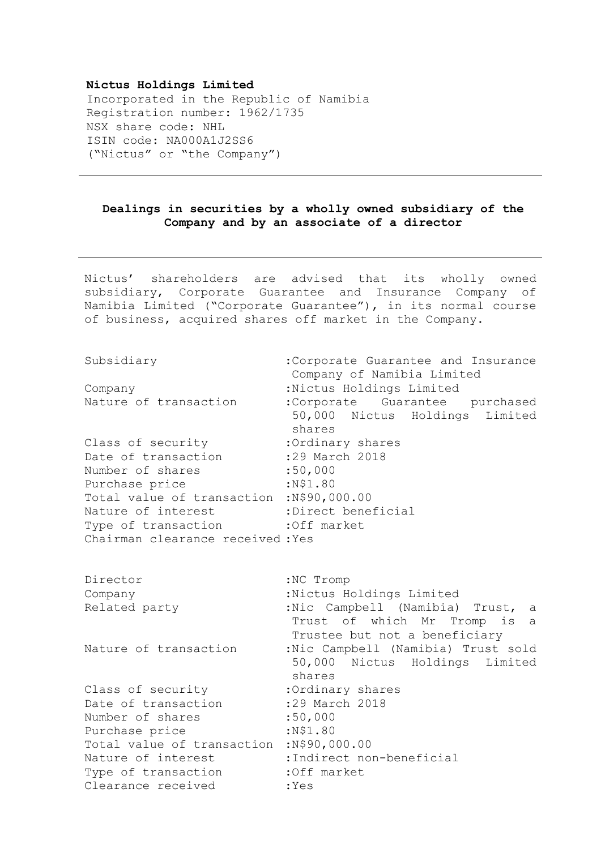## **Nictus Holdings Limited**

Incorporated in the Republic of Namibia Registration number: 1962/1735 NSX share code: NHL ISIN code: NA000A1J2SS6 ("Nictus" or "the Company")

## **Dealings in securities by a wholly owned subsidiary of the Company and by an associate of a director**

Nictus' shareholders are advised that its wholly owned subsidiary, Corporate Guarantee and Insurance Company of Namibia Limited ("Corporate Guarantee"), in its normal course of business, acquired shares off market in the Company.

Subsidiary : Corporate Guarantee and Insurance Company of Namibia Limited Company :Nictus Holdings Limited Nature of transaction : Corporate Guarantee purchased 50,000 Nictus Holdings Limited shares Class of security : Ordinary shares Date of transaction :29 March 2018 Number of shares :50,000 Purchase price :N\$1.80 Total value of transaction :N\$90,000.00 Nature of interest :Direct beneficial Type of transaction : Off market Chairman clearance received :Yes Director : NC Tromp Company :Nictus Holdings Limited Related party ... . Wic Campbell (Namibia) Trust, a Trust of which Mr Tromp is a Trustee but not a beneficiary Nature of transaction :Nic Campbell (Namibia) Trust sold 50,000 Nictus Holdings Limited shares Class of security : Ordinary shares Date of transaction :29 March 2018 Number of shares :50,000 Purchase price :N\$1.80 Total value of transaction :N\$90,000.00 Nature of interest :Indirect non-beneficial Type of transaction : Off market Clearance received : Yes